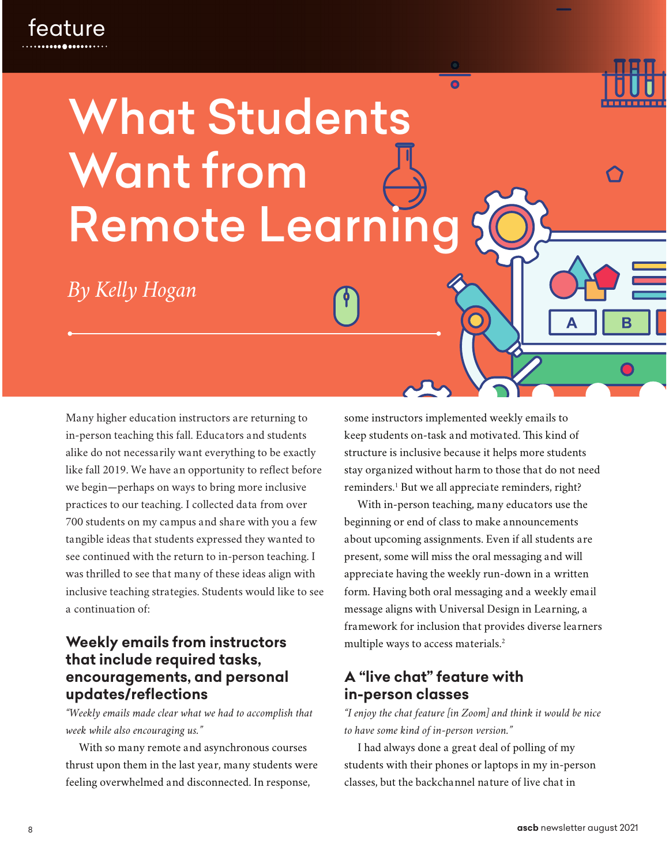# What Students Want from Remote Learni

*By Kelly Hogan*

Many higher education instructors are returning to in-person teaching this fall. Educators and students alike do not necessarily want everything to be exactly like fall 2019. We have an opportunity to reflect before we begin—perhaps on ways to bring more inclusive practices to our teaching. I collected data from over 700 students on my campus and share with you a few tangible ideas that students expressed they wanted to see continued with the return to in-person teaching. I was thrilled to see that many of these ideas align with inclusive teaching strategies. Students would like to see a continuation of:

## **Weekly emails from instructors that include required tasks, encouragements, and personal updates/reflections**

*"Weekly emails made clear what we had to accomplish that week while also encouraging us."*

With so many remote and asynchronous courses thrust upon them in the last year, many students were feeling overwhelmed and disconnected. In response,

some instructors implemented weekly emails to keep students on-task and motivated. This kind of structure is inclusive because it helps more students stay organized without harm to those that do not need reminders.<sup>1</sup> But we all appreciate reminders, right?

 $\bullet$ 

With in-person teaching, many educators use the beginning or end of class to make announcements about upcoming assignments. Even if all students are present, some will miss the oral messaging and will appreciate having the weekly run-down in a written form. Having both oral messaging and a weekly email message aligns with Universal Design in Learning, a framework for inclusion that provides diverse learners multiple ways to access materials.<sup>2</sup>

## **A "live chat" feature with in-person classes**

*"I enjoy the chat feature [in Zoom] and think it would be nice to have some kind of in-person version."*

I had always done a great deal of polling of my students with their phones or laptops in my in-person classes, but the backchannel nature of live chat in